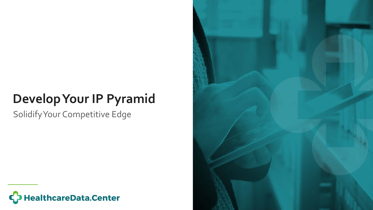# **Develop Your IP Pyramid**

Solidify Your Competitive Edge



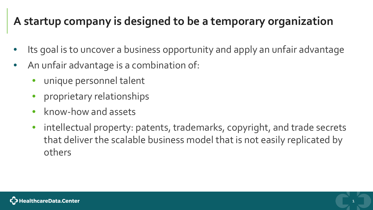### **A startup company is designed to be a temporary organization**

- Its goal is to uncover a business opportunity and apply an unfair advantage
- An unfair advantage is a combination of:
	- unique personnel talent
	- proprietary relationships
	- know-how and assets
	- intellectual property: patents, trademarks, copyright, and trade secrets that deliver the scalable business model that is not easily replicated by others

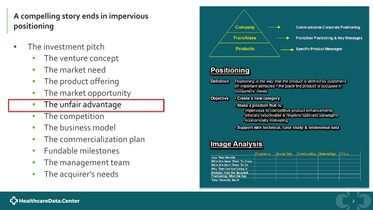**A compelling story ends in impervious positioning**

- The investment pitch
	- The venture concept
	- The market need
	- The product offering
	- The market opportunity
	- The unfair advantage
	- The competition
	- The business model
	- The commercialization plan
	- Fundable milestones
	- The management team
	- The acquirer's needs



#### **Positioning**

**O** 

| efinition       | Positioning is the way that the product is defined by customers<br>on important attributes - the place the product is occupied in<br>consumers' minds                  |
|-----------------|------------------------------------------------------------------------------------------------------------------------------------------------------------------------|
| <b>bjective</b> | - Create a new category                                                                                                                                                |
|                 | - Stake a position that is:<br>- impervious to competitive product enhancements<br>- ethically responsible & respects specialty paradigms<br>- economically motivating |
|                 | - Support with technical, case study & testimonial data                                                                                                                |
|                 |                                                                                                                                                                        |

#### **Image Analysis**

|                           | <b>Physicians</b> | Nurs of Tech | Cath Lab Mgt. Material Mgt. | ICFO's |
|---------------------------|-------------------|--------------|-----------------------------|--------|
| <b>How They Benefit</b>   |                   |              |                             |        |
| What We Need Them To Know |                   |              |                             |        |
| What We Want Them To Do   |                   |              |                             |        |
| Why They Are Not Doing It |                   |              |                             |        |
| Strategy: How We Succeed  |                   |              |                             |        |
| Positioning: What We Say  |                   |              |                             |        |
| Tone: How We Sav It       |                   |              |                             |        |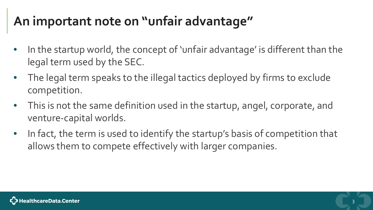# **An important note on "unfair advantage"**

- In the startup world, the concept of 'unfair advantage' is different than the legal term used by the SEC.
- The legal term speaks to the illegal tactics deployed by firms to exclude competition.
- This is not the same definition used in the startup, angel, corporate, and venture-capital worlds.
- In fact, the term is used to identify the startup's basis of competition that allows them to compete effectively with larger companies.

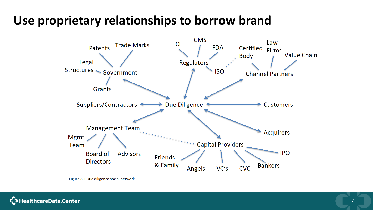### **Use proprietary relationships to borrow brand**



Figure 8.1 Due diligence social network

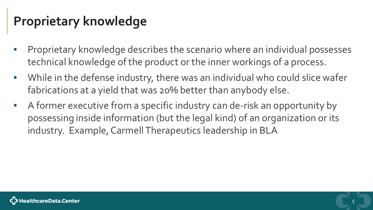# **Proprietary knowledge**

- Proprietary knowledge describes the scenario where an individual possesses technical knowledge of the product or the inner workings of a process.
- While in the defense industry, there was an individual who could slice wafer fabrications at a yield that was 20% better than anybody else.
- A former executive from a specific industry can de-risk an opportunity by possessing inside information (but the legal kind) of an organization or its industry. Example, Carmell Therapeutics leadership in BLA

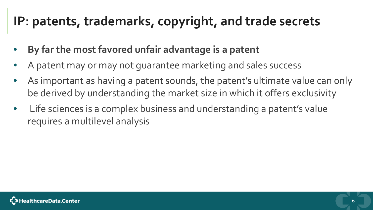## **IP: patents, trademarks, copyright, and trade secrets**

- **By far the most favored unfair advantage is a patent**
- A patent may or may not guarantee marketing and sales success
- As important as having a patent sounds, the patent's ultimate value can only be derived by understanding the market size in which it offers exclusivity
- Life sciences is a complex business and understanding a patent's value requires a multilevel analysis

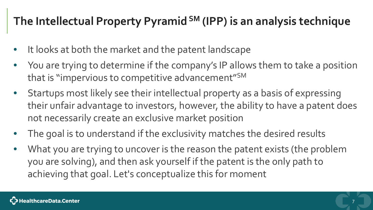### **The Intellectual Property Pyramid SM (IPP) is an analysis technique**

- It looks at both the market and the patent landscape
- You are trying to determine if the company's IP allows them to take a position that is "impervious to competitive advancement"SM
- Startups most likely see their intellectual property as a basis of expressing their unfair advantage to investors, however, the ability to have a patent does not necessarily create an exclusive market position
- The goal is to understand if the exclusivity matches the desired results
- What you are trying to uncover is the reason the patent exists (the problem you are solving), and then ask yourself if the patent is the only path to achieving that goal. Let's conceptualize this for moment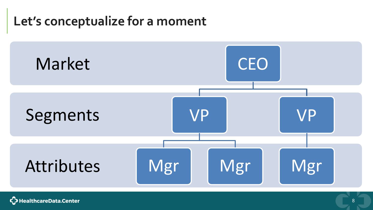### **Let's conceptualize for a moment**



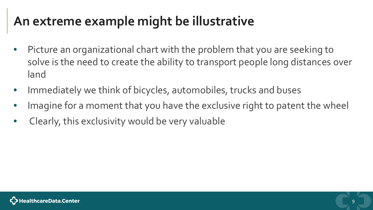## **An extreme example might be illustrative**

- Picture an organizational chart with the problem that you are seeking to solve is the need to create the ability to transport people long distances over land
- Immediately we think of bicycles, automobiles, trucks and buses
- Imagine for a moment that you have the exclusive right to patent the wheel
- Clearly, this exclusivity would be very valuable

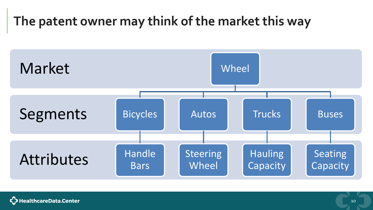# **The patent owner may think of the market this way**



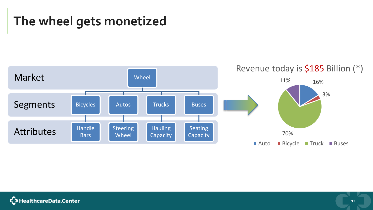## **The wheel gets monetized**



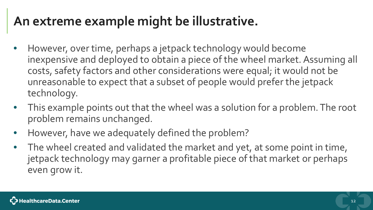### **An extreme example might be illustrative.**

- However, over time, perhaps a jetpack technology would become inexpensive and deployed to obtain a piece of the wheel market. Assuming all costs, safety factors and other considerations were equal; it would not be unreasonable to expect that a subset of people would prefer the jetpack technology.
- This example points out that the wheel was a solution for a problem. The root problem remains unchanged.
- However, have we adequately defined the problem?
- The wheel created and validated the market and yet, at some point in time, jetpack technology may garner a profitable piece of that market or perhaps even grow it.

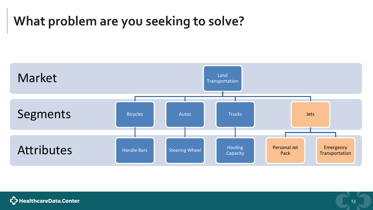# **What problem are you seeking to solve?**



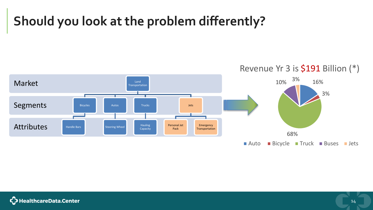# **Should you look at the problem differently?**



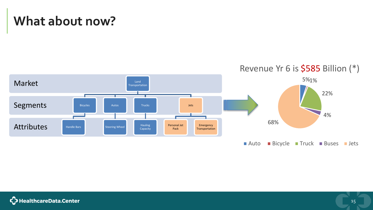### **What about now?**



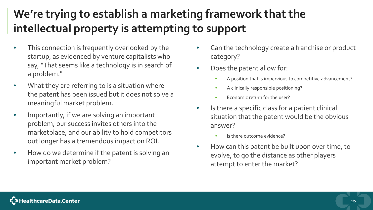### **We're trying to establish a marketing framework that the intellectual property is attempting to support**

- This connection is frequently overlooked by the startup, as evidenced by venture capitalists who say, "That seems like a technology is in search of a problem."
- What they are referring to is a situation where the patent has been issued but it does not solve a meaningful market problem.
- Importantly, if we are solving an important problem, our success invites others into the marketplace, and our ability to hold competitors out longer has a tremendous impact on ROI.
- How do we determine if the patent is solving an important market problem?
- Can the technology create a franchise or product category?
- Does the patent allow for:
	- A position that is impervious to competitive advancement?
	- A clinically responsible positioning?
	- Economic return for the user?
- Is there a specific class for a patient clinical situation that the patent would be the obvious answer?
	- Is there outcome evidence?
- How can this patent be built upon over time, to evolve, to go the distance as other players attempt to enter the market?

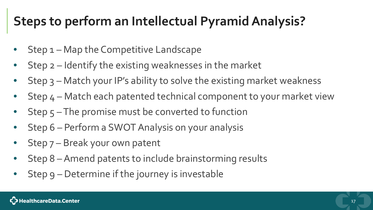# **Steps to perform an Intellectual Pyramid Analysis?**

- Step 1 Map the Competitive Landscape
- Step 2 Identify the existing weaknesses in the market
- Step  $3$  Match your IP's ability to solve the existing market weakness
- Step 4 Match each patented technical component to your market view
- Step 5-The promise must be converted to function
- Step 6 Perform a SWOT Analysis on your analysis
- Step 7 Break your own patent
- Step 8 –Amend patents to include brainstorming results
- Step 9 Determine if the journey is investable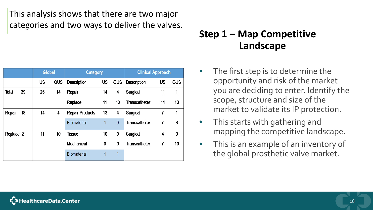This analysis shows that there are two major categories and two ways to deliver the valves.

|            |    | <b>Global</b> |            | <b>Category</b>        |               |              | <b>Clinical Approach</b> |           |            |  |  |  |
|------------|----|---------------|------------|------------------------|---------------|--------------|--------------------------|-----------|------------|--|--|--|
|            |    | <b>US</b>     | <b>OUS</b> | Description            | <b>US</b>     | <b>OUS</b>   | Description              | <b>US</b> | <b>OUS</b> |  |  |  |
| Total      | 39 | 25            | 14         | Repair                 | 14            | 4            | Surgical                 | 11        | 1          |  |  |  |
|            |    |               |            | Replace                | 11            | 10           | <b>Transcatheter</b>     | 14        | 13         |  |  |  |
| Repair     | 18 | 14            | 4          | <b>Repair Products</b> | 13<br>4       |              | Surgical                 | 7         | 1          |  |  |  |
|            |    |               |            | <b>Biomaterial</b>     | 1             | $\mathbf{0}$ | <b>Transcatheter</b>     | 7         | 3          |  |  |  |
| Replace 21 |    | 11            | 10         | <b>Tissue</b>          | 10            | 9            | Surgical                 | 4         | $\bf{0}$   |  |  |  |
|            |    |               |            | Mechanical             | $\bf{0}$<br>0 |              | <b>Transcatheter</b>     | 7         | 10         |  |  |  |
|            |    |               |            | <b>Biomaterial</b>     | 1             | 1            |                          |           |            |  |  |  |

### **Step 1 – Map Competitive Landscape**

- The first step is to determine the opportunity and risk of the market you are deciding to enter. Identify the scope, structure and size of the market to validate its IP protection.
- This starts with gathering and mapping the competitive landscape.
- This is an example of an inventory of the global prosthetic valve market.

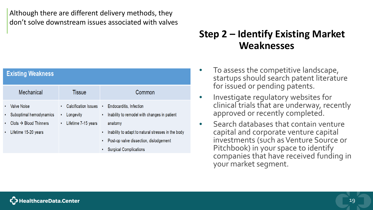Although there are different delivery methods, they don't solve downstream issues associated with valves

| <b>Existing Weakness</b>                                                                    |                                                                      |                                                                                                                                    |
|---------------------------------------------------------------------------------------------|----------------------------------------------------------------------|------------------------------------------------------------------------------------------------------------------------------------|
| Mechanical                                                                                  | Tissue                                                               | Common                                                                                                                             |
| <b>Valve Noise</b><br>٠<br>Suboptimal hemodynamics<br>٠<br>$·\triangle Blood Thinners$<br>٠ | Calcification Issues •<br>Longevity<br>٠<br>Lifetime 7-15 years<br>٠ | Endocarditis, Infection<br>Inability to remodel with changes in patient<br>$\bullet$<br>anatomy                                    |
| Lifetime 15-20 years<br>٠                                                                   |                                                                      | Inability to adapt to natural stresses in the body<br>Post-op valve dissection, dislodgement<br><b>Surgical Complications</b><br>٠ |

#### **Step 2 – Identify Existing Market Weaknesses**

- To assess the competitive landscape, startups should search patent literature for issued or pending patents.
- Investigate regulatory websites for clinical trials that are underway, recently approved or recently completed.
- Search databases that contain venture capital and corporate venture capital investments (such as Venture Source or Pitchbook) in your space to identify companies that have received funding in your market segment.

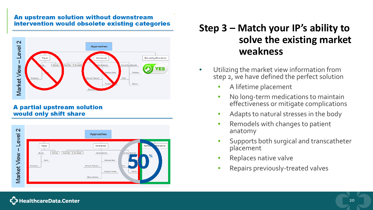#### An upstream solution without downstream intervention would obsolete existing categories



#### **A partial upstream solution** would only shift share



### **Step 3 – Match your IP's ability to solve the existing market weakness**

- Utilizing the market view information from step 2, we have defined the perfect solution
	- A lifetime placement
	- No long-term medications to maintain effectiveness or mitigate complications
	- Adapts to natural stresses in the body
	- Remodels with changes to patient anatomy
	- Supports both surgical and transcatheter placement
	- Replaces native valve
	- Repairs previously-treated valves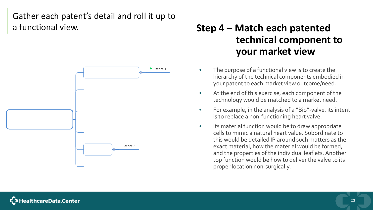#### Gather each patent's detail and roll it up to a functional view.



### **Step 4 – Match each patented technical component to your market view**

- The purpose of a functional view is to create the hierarchy of the technical components embodied in your patent to each market view outcome/need.
- At the end of this exercise, each component of the technology would be matched to a market need.
- For example, in the analysis of a "Bio"-valve, its intent is to replace a non-functioning heart valve.
- Its material function would be to draw appropriate cells to mimic a natural heart value. Subordinate to this would be detailed IP around such matters as the exact material, how the material would be formed, and the properties of the individual leaflets. Another top function would be how to deliver the valve to its proper location non-surgically.

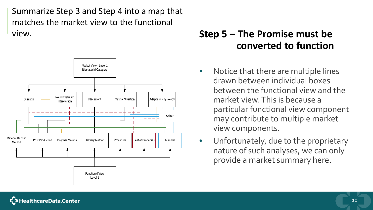Summarize Step 3 and Step 4 into a map that matches the market view to the functional view.



### **Step 5 – The Promise must be converted to function**

- Notice that there are multiple lines drawn between individual boxes between the functional view and the market view. This is because a particular functional view component may contribute to multiple market view components.
- Unfortunately, due to the proprietary nature of such analyses, we can only provide a market summary here.

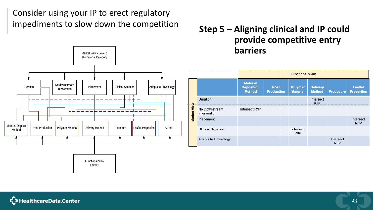Consider using your IP to erect regulatory impediments to slow down the competition



#### **Step 5 – Aligning clinical and IP could provide competitive entry barriers**

|             |                               |                                                       |                           | <b>Functional View</b>            |                                  |                   |                              |
|-------------|-------------------------------|-------------------------------------------------------|---------------------------|-----------------------------------|----------------------------------|-------------------|------------------------------|
|             |                               | <b>Material</b><br><b>Deposition</b><br><b>Method</b> | Post<br><b>Production</b> | <b>Polymer</b><br><b>Material</b> | <b>Delivery</b><br><b>Method</b> | <b>Procedure</b>  | Leaflet<br><b>Properties</b> |
|             | Duration                      |                                                       |                           |                                   | Intersect<br>$R$ /IP             |                   |                              |
| Market View | No Downstream<br>Intervention | Intersect R/IP                                        |                           |                                   |                                  |                   |                              |
|             | Placement                     |                                                       |                           |                                   |                                  |                   | Intersect<br>R/IP            |
|             | <b>Clinical Situation</b>     |                                                       |                           | Intersect<br>R/IP                 |                                  |                   |                              |
|             | <b>Adapts to Physiology</b>   |                                                       |                           |                                   |                                  | Intersect<br>R/IP |                              |

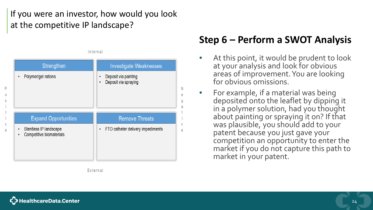#### If you were an investor, how would you look at the competitive IP landscape?

Internal

| Strengthen                                                   | <b>Investigate Weaknesses</b>                                         |
|--------------------------------------------------------------|-----------------------------------------------------------------------|
| Polymer/gel rations                                          | Deposit via painting<br>٠<br>Deposit via spraying<br>٠<br>N<br>е<br>g |
| <b>Expand Opportunities</b>                                  | <b>Remove Threats</b>                                                 |
| Stentless IP landscape<br>٠<br>Competitive biomaterials<br>٠ | V<br>FTO catheter delivery impediments<br>٠                           |

External

### **Step 6 – Perform a SWOT Analysis**

- At this point, it would be prudent to look at your analysis and look for obvious areas of improvement. You are looking for obvious omissions.
- For example, if a material was being deposited onto the leaflet by dipping it in a polymer solution, had you thought about painting or spraying it on? If that was plausible, you should add to your patent because you just gave your competition an opportunity to enter the market if you do not capture this path to market in your patent.

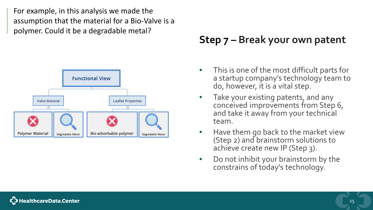For example, in this analysis we made the assumption that the material for a Bio-Valve is a polymer. Could it be a degradable metal?



### **Step 7 – Break your own patent**

- This is one of the most difficult parts for a startup company's technology team to do, however, it is a vital step.
- Take your existing patents, and any conceived improvements from Step 6, and take it away from your technical team.
- Have them go back to the market view (Step 2) and brainstorm solutions to achieve create new IP (Step 3).
- Do not inhibit your brainstorm by the constrains of today's technology.

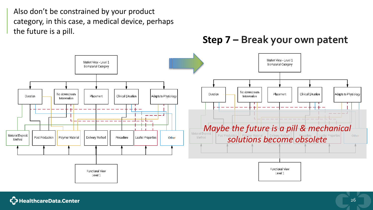Also don't be constrained by your product category, in this case, a medical device, perhaps the future is a pill.

**Step 7 – Break your own patent** 



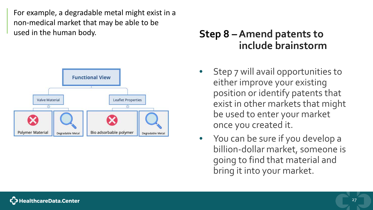For example, a degradable metal might exist in a non-medical market that may be able to be used in the human body.



### **Step 8 –Amend patents to include brainstorm**

- Step 7 will avail opportunities to either improve your existing position or identify patents that exist in other markets that might be used to enter your market once you created it.
- You can be sure if you develop a billion-dollar market, someone is going to find that material and bring it into your market.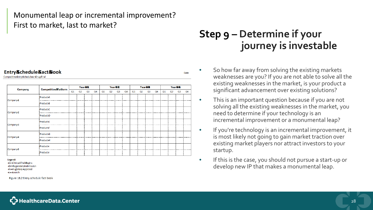#### Monumental leap or incremental improvement? First to market, last to market?

#### Entry&chedule&act&ook

Competitive Entry 6 chedule or Drug Trial

| Company               | <b>Competitive&amp;latform</b> |  | Year&&         |                |                |    |                | Year&&<br>Year&& |                |    |                |                |                | Year&& |                |    |                |
|-----------------------|--------------------------------|--|----------------|----------------|----------------|----|----------------|------------------|----------------|----|----------------|----------------|----------------|--------|----------------|----|----------------|
|                       | Q1                             |  | Q <sub>2</sub> | Q3             | Q <sub>4</sub> | Q1 | Q <sub>2</sub> | Q <sub>3</sub>   | Q <sub>4</sub> | Q1 | Q <sub>2</sub> | Q <sub>3</sub> | Q <sub>4</sub> | Q1     | Q <sub>2</sub> | Q3 | Q <sub>4</sub> |
| Company <sub>4</sub>  | Product A                      |  |                | . <del>.</del> |                |    |                |                  |                |    |                |                |                |        |                |    |                |
|                       | Product-B                      |  |                |                |                |    |                |                  |                |    |                |                |                |        |                |    |                |
| Company <sub>2</sub>  | Product-C                      |  |                |                |                |    |                |                  |                |    |                |                |                |        |                |    |                |
|                       | Product D                      |  |                |                |                |    |                |                  |                |    |                |                |                |        |                |    |                |
| Company <sub>B</sub>  | Product E                      |  |                |                |                |    |                |                  |                |    |                |                |                |        |                |    |                |
|                       | :Product+                      |  |                |                |                |    |                |                  |                |    |                |                |                |        |                |    |                |
| Company <sub>44</sub> | Product-G                      |  |                |                |                |    |                |                  |                |    |                |                |                |        |                |    |                |
|                       | Product H                      |  |                |                |                |    |                |                  |                |    |                |                |                |        |                |    |                |
| Company-6             | Product +                      |  |                |                |                |    |                |                  |                |    |                |                |                |        |                |    |                |
|                       | Product+                       |  |                | .              |                |    |                |                  |                |    |                |                |                |        |                |    |                |

Legend:

+C+ €linical+Trial Begins +D+-Regulatory-6 ubmission +R+Ruglatory+Approval <del>⊩tr</del>taunch

Figure 18.2 Entry schedule fact book

### **Step 9 – Determine if your journey is investable**

Date

- So how far away from solving the existing markets weaknesses are you? If you are not able to solve all the existing weaknesses in the market, is your product a significant advancement over existing solutions?
- This is an important question because if you are not solving all the existing weaknesses in the market, you need to determine if your technology is an incremental improvement or a monumental leap?
- If you're technology is an incremental improvement, it is most likely not going to gain market traction over existing market players nor attract investors to your startup.
- If this is the case, you should not pursue a start-up or develop new IP that makes a monumental leap.

careData.Center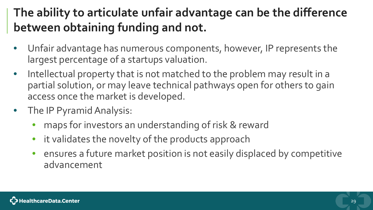### **The ability to articulate unfair advantage can be the difference between obtaining funding and not.**

- Unfair advantage has numerous components, however, IP represents the largest percentage of a startups valuation.
- Intellectual property that is not matched to the problem may result in a partial solution, or may leave technical pathways open for others to gain access once the market is developed.
- The IP Pyramid Analysis:
	- maps for investors an understanding of risk & reward
	- it validates the novelty of the products approach
	- ensures a future market position is not easily displaced by competitive advancement